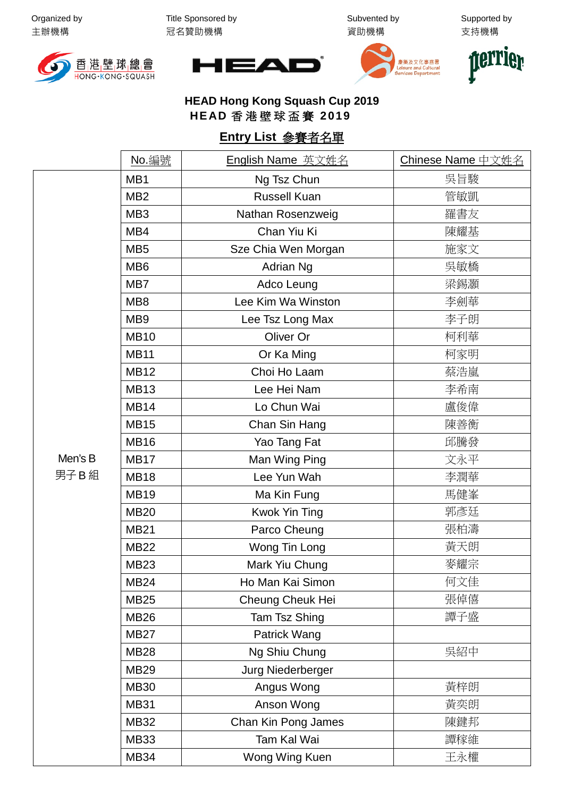Organized by 主辦機構

Title Sponsored by 冠名贊助機構

Subvented by 資助機構

Supported by 支持機構









**HEAD Hong Kong Squash Cup 2019 HEAD** 香港壁球盃賽 **2019**

## **Entry List** 參賽者名單

|                 | No. 編號          | English Name 英文姓名    | Chinese Name 中文姓名 |
|-----------------|-----------------|----------------------|-------------------|
|                 | MB1             | Ng Tsz Chun          | 吳旨駿               |
| Men's B<br>男子B組 | MB <sub>2</sub> | <b>Russell Kuan</b>  | 管敏凱               |
|                 | MB <sub>3</sub> | Nathan Rosenzweig    | 羅書友               |
|                 | MB4             | Chan Yiu Ki          | 陳耀基               |
|                 | MB <sub>5</sub> | Sze Chia Wen Morgan  | 施家文               |
|                 | MB <sub>6</sub> | Adrian Ng            | 吳敏橋               |
|                 | MB7             | Adco Leung           | 梁錫灝               |
|                 | MB <sub>8</sub> | Lee Kim Wa Winston   | 李劍華               |
|                 | MB <sub>9</sub> | Lee Tsz Long Max     | 李子朗               |
|                 | <b>MB10</b>     | Oliver Or            | 柯利華               |
|                 | <b>MB11</b>     | Or Ka Ming           | 柯家明               |
|                 | <b>MB12</b>     | Choi Ho Laam         | 蔡浩嵐               |
|                 | <b>MB13</b>     | Lee Hei Nam          | 李希南               |
|                 | <b>MB14</b>     | Lo Chun Wai          | 盧俊偉               |
|                 | <b>MB15</b>     | Chan Sin Hang        | 陳善衡               |
|                 | <b>MB16</b>     | Yao Tang Fat         | 邱騰發               |
|                 | <b>MB17</b>     | Man Wing Ping        | 文永平               |
|                 | <b>MB18</b>     | Lee Yun Wah          | 李潤華               |
|                 | <b>MB19</b>     | Ma Kin Fung          | 馬健峯               |
|                 | <b>MB20</b>     | <b>Kwok Yin Ting</b> | 郭彥廷               |
|                 | <b>MB21</b>     | Parco Cheung         | 張柏濤               |
|                 | <b>MB22</b>     | Wong Tin Long        | 黃天朗               |
|                 | <b>MB23</b>     | Mark Yiu Chung       | 麥耀宗               |
|                 | <b>MB24</b>     | Ho Man Kai Simon     | 何文佳               |
|                 | <b>MB25</b>     | Cheung Cheuk Hei     | 張倬僖               |
|                 | <b>MB26</b>     | Tam Tsz Shing        | 譚子盛               |
|                 | <b>MB27</b>     | Patrick Wang         |                   |
|                 | <b>MB28</b>     | Ng Shiu Chung        | 吳紹中               |
|                 | <b>MB29</b>     | Jurg Niederberger    |                   |
|                 | <b>MB30</b>     | Angus Wong           | 黃梓朗               |
|                 | <b>MB31</b>     | Anson Wong           | 黃奕朗               |
|                 | <b>MB32</b>     | Chan Kin Pong James  | 陳鍵邦               |
|                 | <b>MB33</b>     | Tam Kal Wai          | 譚稼維               |
|                 | <b>MB34</b>     | Wong Wing Kuen       | 王永權               |